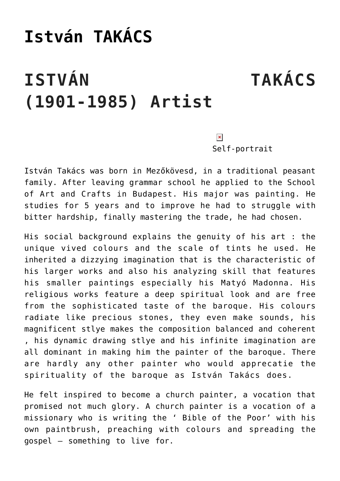## **[István TAKÁCS](https://matyovk.hu/en/local-history/artists/istvan-takacs/)**

## **ISTVÁN TAKÁCS (1901-1985) Artist**

 $\pmb{\times}$ 

Self-portrait

István Takács was born in Mezőkövesd, in a traditional peasant family. After leaving grammar school he applied to the School of Art and Crafts in Budapest. His major was painting. He studies for 5 years and to improve he had to struggle with bitter hardship, finally mastering the trade, he had chosen.

His social background explains the genuity of his art : the unique vived colours and the scale of tints he used. He inherited a dizzying imagination that is the characteristic of his larger works and also his analyzing skill that features his smaller paintings especially his Matyó Madonna. His religious works feature a deep spiritual look and are free from the sophisticated taste of the baroque. His colours radiate like precious stones, they even make sounds, his magnificent stlye makes the composition balanced and coherent , his dynamic drawing stlye and his infinite imagination are all dominant in making him the painter of the baroque. There are hardly any other painter who would apprecatie the spirituality of the baroque as István Takács does.

He felt inspired to become a church painter, a vocation that promised not much glory. A church painter is a vocation of a missionary who is writing the ' Bible of the Poor' with his own paintbrush, preaching with colours and spreading the gospel – something to live for.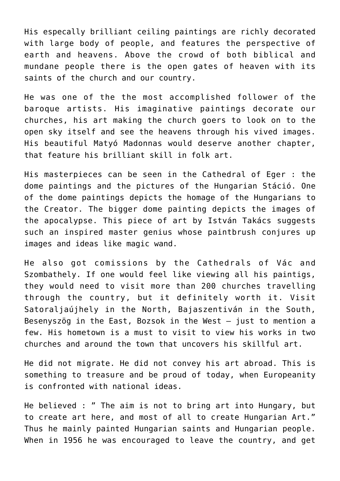His especally brilliant ceiling paintings are richly decorated with large body of people, and features the perspective of earth and heavens. Above the crowd of both biblical and mundane people there is the open gates of heaven with its saints of the church and our country.

He was one of the the most accomplished follower of the baroque artists. His imaginative paintings decorate our churches, his art making the church goers to look on to the open sky itself and see the heavens through his vived images. His beautiful Matyó Madonnas would deserve another chapter, that feature his brilliant skill in folk art.

His masterpieces can be seen in the Cathedral of Eger : the dome paintings and the pictures of the Hungarian Stáció. One of the dome paintings depicts the homage of the Hungarians to the Creator. The bigger dome painting depicts the images of the apocalypse. This piece of art by István Takács suggests such an inspired master genius whose paintbrush conjures up images and ideas like magic wand.

He also got comissions by the Cathedrals of Vác and Szombathely. If one would feel like viewing all his paintigs, they would need to visit more than 200 churches travelling through the country, but it definitely worth it. Visit Satoraljaújhely in the North, Bajaszentiván in the South, Besenyszög in the East, Bozsok in the West – just to mention a few. His hometown is a must to visit to view his works in two churches and around the town that uncovers his skillful art.

He did not migrate. He did not convey his art abroad. This is something to treasure and be proud of today, when Europeanity is confronted with national ideas.

He believed : " The aim is not to bring art into Hungary, but to create art here, and most of all to create Hungarian Art." Thus he mainly painted Hungarian saints and Hungarian people. When in 1956 he was encouraged to leave the country, and get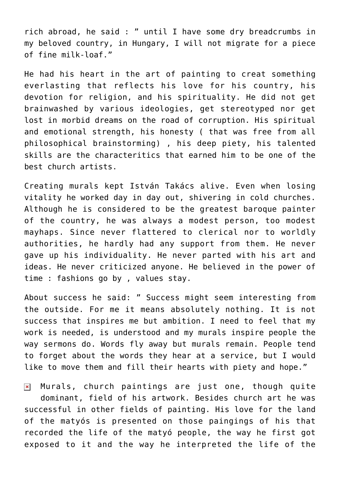rich abroad, he said : " until I have some dry breadcrumbs in my beloved country, in Hungary, I will not migrate for a piece of fine milk-loaf."

He had his heart in the art of painting to creat something everlasting that reflects his love for his country, his devotion for religion, and his spirituality. He did not get brainwashed by various ideologies, get stereotyped nor get lost in morbid dreams on the road of corruption. His spiritual and emotional strength, his honesty ( that was free from all philosophical brainstorming) , his deep piety, his talented skills are the characteritics that earned him to be one of the best church artists.

Creating murals kept István Takács alive. Even when losing vitality he worked day in day out, shivering in cold churches. Although he is considered to be the greatest baroque painter of the country, he was always a modest person, too modest mayhaps. Since never flattered to clerical nor to worldly authorities, he hardly had any support from them. He never gave up his individuality. He never parted with his art and ideas. He never criticized anyone. He believed in the power of time : fashions go by , values stay.

About success he said: " Success might seem interesting from the outside. For me it means absolutely nothing. It is not success that inspires me but ambition. I need to feel that my work is needed, is understood and my murals inspire people the way sermons do. Words fly away but murals remain. People tend to forget about the words they hear at a service, but I would like to move them and fill their hearts with piety and hope."

Murals, church paintings are just one, though quite  $\pmb{\times}$ dominant, field of his artwork. Besides church art he was successful in other fields of painting. His love for the land of the matyós is presented on those paingings of his that recorded the life of the matyó people, the way he first got exposed to it and the way he interpreted the life of the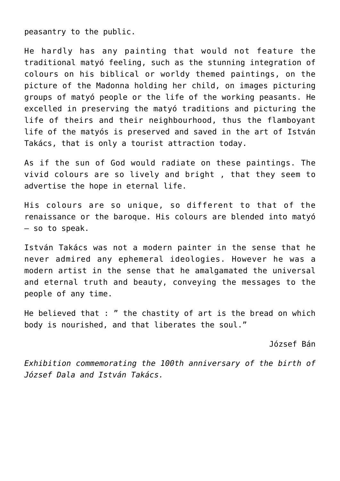peasantry to the public.

He hardly has any painting that would not feature the traditional matyó feeling, such as the stunning integration of colours on his biblical or worldy themed paintings, on the picture of the Madonna holding her child, on images picturing groups of matyó people or the life of the working peasants. He excelled in preserving the matyó traditions and picturing the life of theirs and their neighbourhood, thus the flamboyant life of the matyós is preserved and saved in the art of István Takács, that is only a tourist attraction today.

As if the sun of God would radiate on these paintings. The vivid colours are so lively and bright , that they seem to advertise the hope in eternal life.

His colours are so unique, so different to that of the renaissance or the baroque. His colours are blended into matyó – so to speak.

István Takács was not a modern painter in the sense that he never admired any ephemeral ideologies. However he was a modern artist in the sense that he amalgamated the universal and eternal truth and beauty, conveying the messages to the people of any time.

He believed that : " the chastity of art is the bread on which body is nourished, and that liberates the soul."

József Bán

*Exhibition commemorating the 100th anniversary of the birth of József Dala and István Takács.*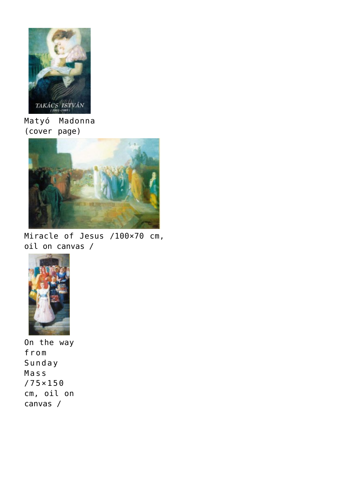

Matyó Madonna (cover page)



Miracle of Jesus /100×70 cm, oil on canvas /



On the way from Sunday Mass /75×150 cm, oil on canvas /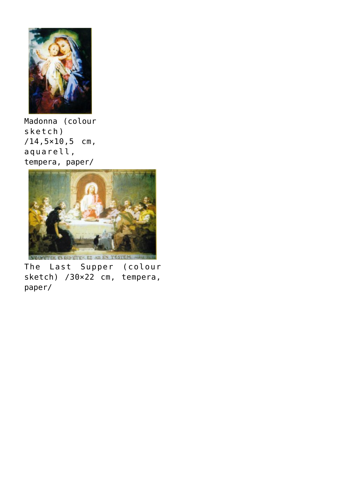

Madonna (colour sketch) /14,5×10,5 cm, aquarell, tempera, paper/



The Last Supper (colour sketch) /30×22 cm, tempera, paper/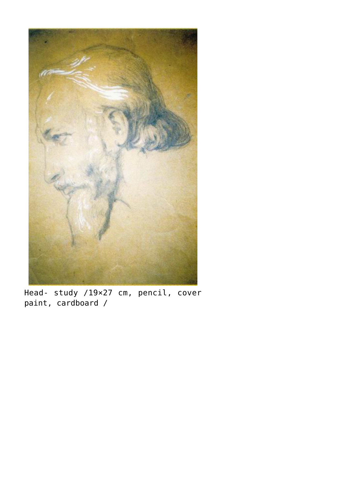

Head- study /19×27 cm, pencil, cover paint, cardboard /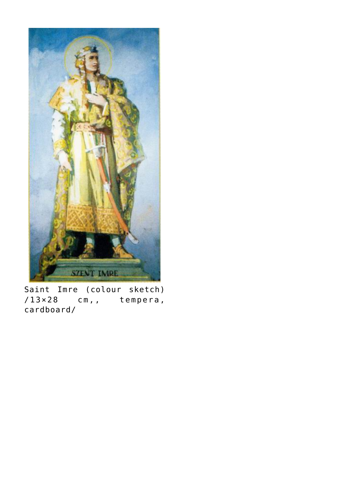

Saint Imre (colour sketch) /13×28 cm,, tempera, cardboard/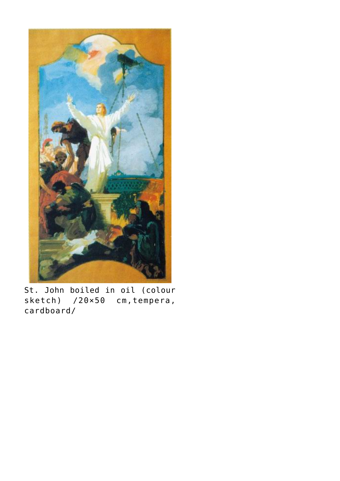

St. John boiled in oil (colour sketch) /20×50 cm, tempera, cardboard/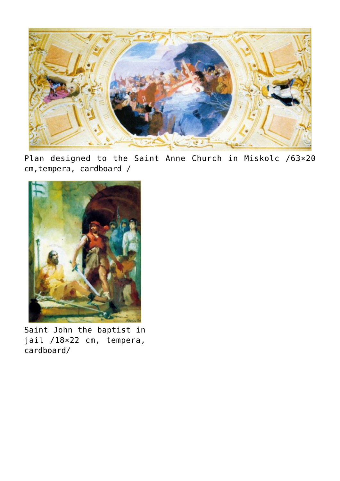

Plan designed to the Saint Anne Church in Miskolc /63×20 cm,tempera, cardboard /



Saint John the baptist in jail /18×22 cm, tempera, cardboard/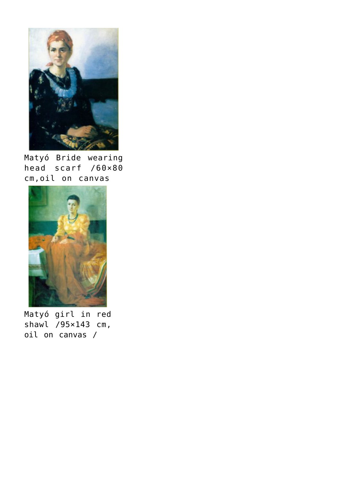

Matyó Bride wearing head scarf /60×80 cm,oil on canvas



Matyó girl in red shawl /95×143 cm, oil on canvas /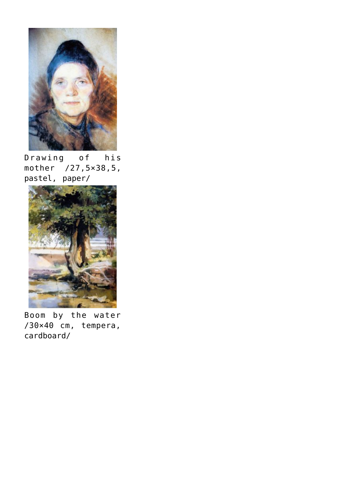

Drawing of his mother /27,5×38,5, pastel, paper/



Boom by the water /30×40 cm, tempera, cardboard/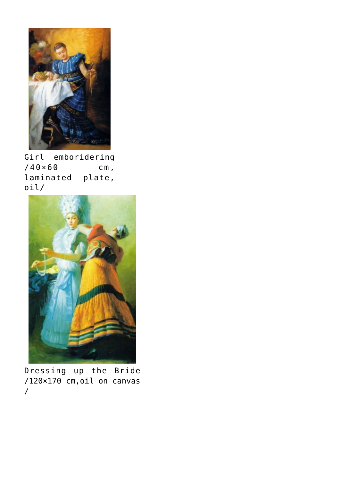

Girl emboridering  $/40\times60$  cm, laminated plate, oil/



Dressing up the Bride /120×170 cm,oil on canvas /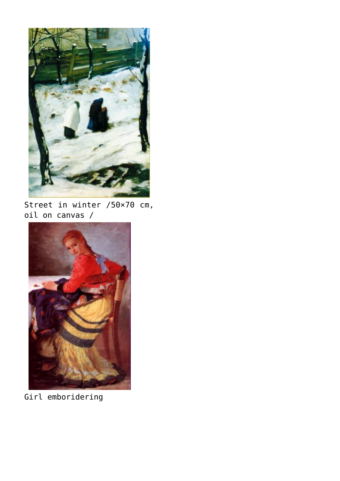

Street in winter /50×70 cm, oil on canvas /



Girl emboridering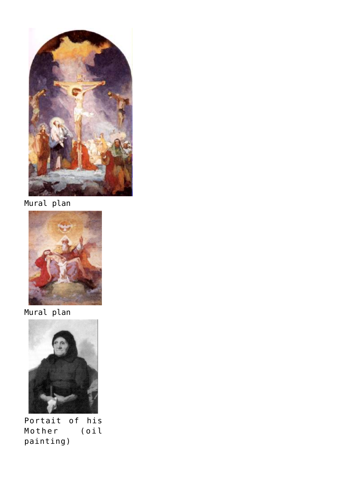

Mural plan



Mural plan



Portait of his Mother painting)